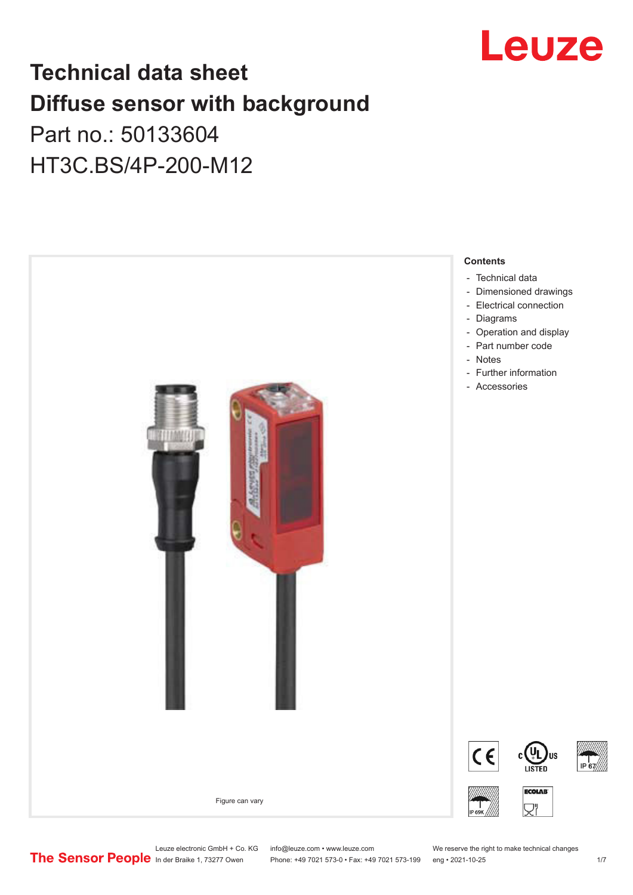

# **Technical data sheet Diffuse sensor with background**

## Part no.: 50133604 HT3C.BS/4P-200-M12



Leuze electronic GmbH + Co. KG info@leuze.com • www.leuze.com We reserve the right to make technical changes<br>
The Sensor People in der Braike 1, 73277 Owen Phone: +49 7021 573-0 • Fax: +49 7021 573-199 eng • 2021-10-25

Phone: +49 7021 573-0 • Fax: +49 7021 573-199 eng • 2021-10-25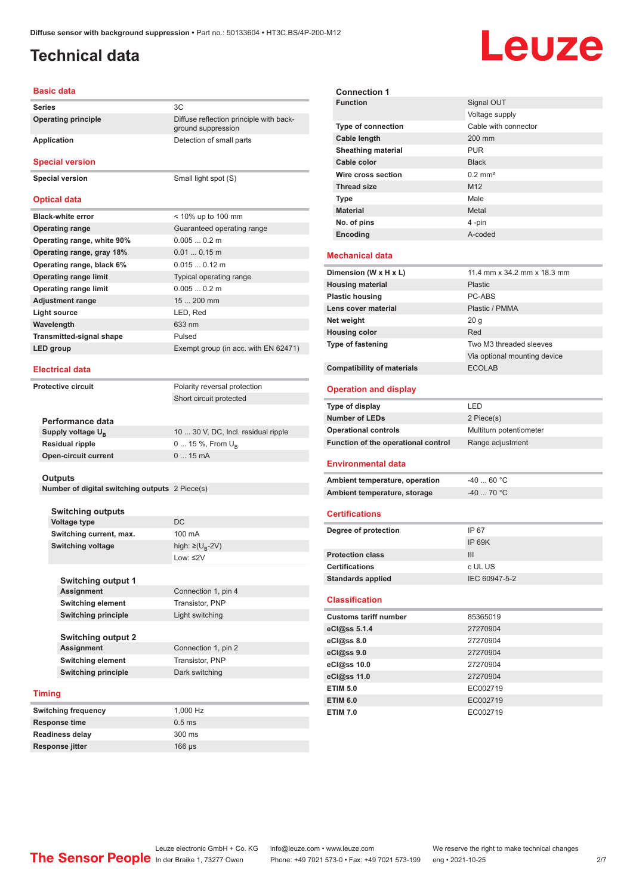ground suppression

## <span id="page-1-0"></span>**Technical data**

# Leuze

### **Basic data**

**Series** 3C **Operating principle** Diffuse reflection principle with back-

### **Application** Detection of small parts

**Special version**

**Special version** Small light spot (S)

### **Optical data**

| <b>Black-white error</b>        | $<$ 10% up to 100 mm                 |
|---------------------------------|--------------------------------------|
| <b>Operating range</b>          | Guaranteed operating range           |
| Operating range, white 90%      | $0.0050.2$ m                         |
| Operating range, gray 18%       | $0.010.15$ m                         |
| Operating range, black 6%       | $0.0150.12$ m                        |
| <b>Operating range limit</b>    | Typical operating range              |
| <b>Operating range limit</b>    | $0.0050.2$ m                         |
| <b>Adjustment range</b>         | $15200$ mm                           |
| Light source                    | LED, Red                             |
| Wavelength                      | 633 nm                               |
| <b>Transmitted-signal shape</b> | Pulsed                               |
| LED group                       | Exempt group (in acc. with EN 62471) |
|                                 |                                      |

### **Electrical data**

**Protective circuit** Polarity reversal protection

**Performance data Supply voltage U<sub>B</sub>** 

**Residual ripple Open-circuit current**  Short circuit protected

| 10  30 V, DC, Incl. residual ripple |
|-------------------------------------|
| 0  15 %, From $U_{\rm B}$           |
| $015$ mA                            |
|                                     |

#### **Outputs**

**Number of digital switching outputs** 2 Piece(s)

| Switching outputs        |                                   |
|--------------------------|-----------------------------------|
| Voltage type             | DC.                               |
| Switching current, max.  | $100 \text{ mA}$                  |
| <b>Switching voltage</b> | high: $\geq$ (U <sub>p</sub> -2V) |
|                          | Low: $\leq$ 2V                    |

| <b>Switching output 1</b>  |                     |
|----------------------------|---------------------|
| <b>Assignment</b>          | Connection 1, pin 4 |
| <b>Switching element</b>   | Transistor, PNP     |
| <b>Switching principle</b> | Light switching     |
|                            |                     |
| <b>Switching output 2</b>  |                     |
| <b>Assignment</b>          | Connection 1, pin 2 |
| <b>Switching element</b>   | Transistor, PNP     |
| <b>Switching principle</b> | Dark switching      |

### **Timing**

| <b>Switching frequency</b> | 1.000 Hz               |
|----------------------------|------------------------|
| <b>Response time</b>       | $0.5$ ms               |
| <b>Readiness delay</b>     | $300 \text{ ms}$       |
| Response jitter            | $166 \,\mathrm{\mu s}$ |

| <b>Connection 1</b>                 |                              |
|-------------------------------------|------------------------------|
| <b>Function</b>                     | Signal OUT                   |
|                                     | Voltage supply               |
| Type of connection                  | Cable with connector         |
| <b>Cable length</b>                 | 200 mm                       |
| <b>Sheathing material</b>           | <b>PUR</b>                   |
| Cable color                         | <b>Black</b>                 |
| Wire cross section                  | $0.2$ mm <sup>2</sup>        |
| <b>Thread size</b>                  | M <sub>12</sub>              |
| <b>Type</b>                         | Male                         |
| <b>Material</b>                     | Metal                        |
| No. of pins                         | 4-pin                        |
| Encoding                            | A-coded                      |
|                                     |                              |
| <b>Mechanical data</b>              |                              |
| Dimension (W x H x L)               | 11.4 mm x 34.2 mm x 18.3 mm  |
| <b>Housing material</b>             | <b>Plastic</b>               |
| <b>Plastic housing</b>              | PC-ABS                       |
| Lens cover material                 | Plastic / PMMA               |
| Net weight                          | 20 <sub>g</sub>              |
| <b>Housing color</b>                | Red                          |
| <b>Type of fastening</b>            | Two M3 threaded sleeves      |
|                                     | Via optional mounting device |
| <b>Compatibility of materials</b>   | <b>ECOLAB</b>                |
| <b>Operation and display</b>        |                              |
|                                     |                              |
| Type of display                     | LED                          |
| <b>Number of LEDs</b>               | 2 Piece(s)                   |
| <b>Operational controls</b>         | Multiturn potentiometer      |
| Function of the operational control | Range adjustment             |
| <b>Environmental data</b>           |                              |
|                                     |                              |
| Ambient temperature, operation      | $-4060 °C$<br>$-40$ 70 °C    |
| Ambient temperature, storage        |                              |
| <b>Certifications</b>               |                              |
| Degree of protection                | IP 67                        |
|                                     | <b>IP 69K</b>                |
| <b>Protection class</b>             | Ш                            |
| <b>Certifications</b>               | c UL US                      |
| <b>Standards applied</b>            | IEC 60947-5-2                |
| <b>Classification</b>               |                              |
| <b>Customs tariff number</b>        | 85365019                     |
| eCl@ss 5.1.4                        | 27270904                     |
|                                     | 27270904                     |
| eCl@ss 8.0                          | 27270904                     |
| eCl@ss 9.0                          | 27270904                     |
| eCl@ss 10.0                         | 27270904                     |
| eCl@ss 11.0<br><b>ETIM 5.0</b>      | EC002719                     |
| <b>ETIM 6.0</b>                     | EC002719                     |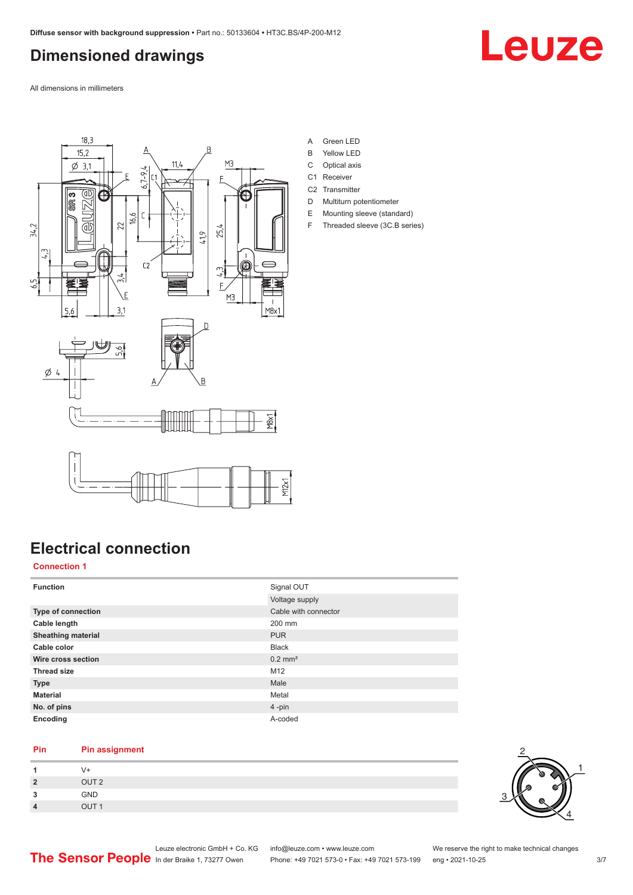## <span id="page-2-0"></span>**Dimensioned drawings**

Leuze

All dimensions in millimeters



- A Green LED
- B Yellow LED
- C Optical axis
- C1 Receiver C<sub>2</sub> Transmitter
- D Multiturn potentiometer
- E Mounting sleeve (standard)
- F Threaded sleeve (3C.B series)

## **Electrical connection**

### **Connection 1**

| <b>Function</b>           | Signal OUT<br>Voltage supply |
|---------------------------|------------------------------|
| <b>Type of connection</b> | Cable with connector         |
| Cable length              | 200 mm                       |
| <b>Sheathing material</b> | <b>PUR</b>                   |
| Cable color               | <b>Black</b>                 |
| Wire cross section        | $0.2$ mm <sup>2</sup>        |
| <b>Thread size</b>        | M12                          |
| <b>Type</b>               | Male                         |
| <b>Material</b>           | Metal                        |
| No. of pins               | $4$ -pin                     |
| Encoding                  | A-coded                      |

### **Pin Pin assignment**

|                           | V+               |
|---------------------------|------------------|
| $\overline{2}$            | OUT <sub>2</sub> |
| $\mathbf{\Omega}$<br>- 11 | <b>GND</b>       |
| $\overline{4}$            | OUT <sub>1</sub> |

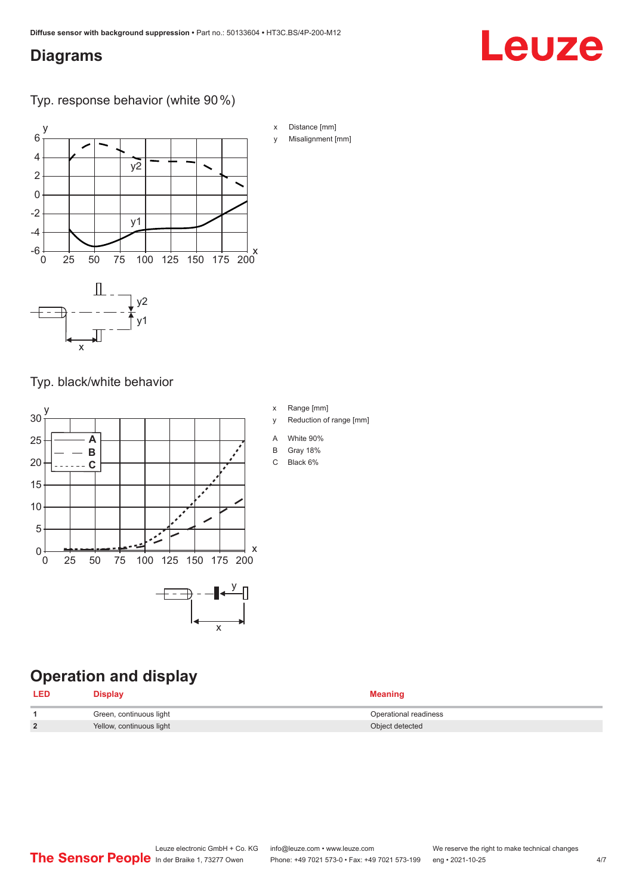## <span id="page-3-0"></span>**Diagrams**

## Typ. response behavior (white 90 %)



Typ. black/white behavior



## **Operation and display**

| <b>LED</b> | <b>Display</b>           | <b>Meaning</b>        |
|------------|--------------------------|-----------------------|
|            | Green, continuous light  | Operational readiness |
| C          | Yellow, continuous light | Object detected       |

y Misalignment [mm]

Leuze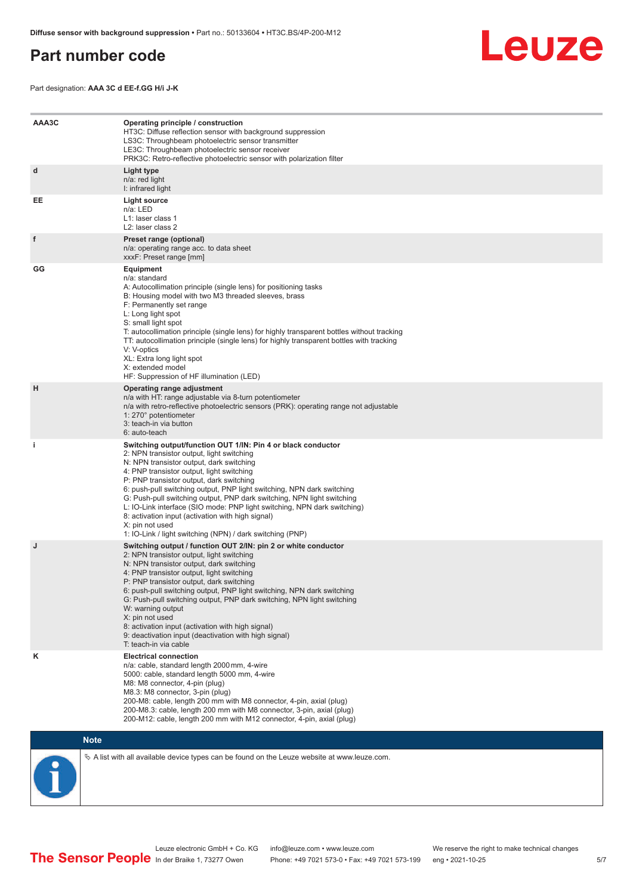## <span id="page-4-0"></span>**Part number code**

Leuze

Part designation: **AAA 3C d EE-f.GG H/i J-K**

| AAA3C | Operating principle / construction<br>HT3C: Diffuse reflection sensor with background suppression<br>LS3C: Throughbeam photoelectric sensor transmitter<br>LE3C: Throughbeam photoelectric sensor receiver<br>PRK3C: Retro-reflective photoelectric sensor with polarization filter                                                                                                                                                                                                                                                                                                                                 |
|-------|---------------------------------------------------------------------------------------------------------------------------------------------------------------------------------------------------------------------------------------------------------------------------------------------------------------------------------------------------------------------------------------------------------------------------------------------------------------------------------------------------------------------------------------------------------------------------------------------------------------------|
| d     | Light type<br>n/a: red light<br>I: infrared light                                                                                                                                                                                                                                                                                                                                                                                                                                                                                                                                                                   |
| EE    | Light source<br>n/a: LED<br>L1: laser class 1<br>L2: laser class 2                                                                                                                                                                                                                                                                                                                                                                                                                                                                                                                                                  |
| f     | Preset range (optional)<br>n/a: operating range acc. to data sheet<br>xxxF: Preset range [mm]                                                                                                                                                                                                                                                                                                                                                                                                                                                                                                                       |
| GG    | <b>Equipment</b><br>n/a: standard<br>A: Autocollimation principle (single lens) for positioning tasks<br>B: Housing model with two M3 threaded sleeves, brass<br>F: Permanently set range<br>L: Long light spot<br>S: small light spot<br>T: autocollimation principle (single lens) for highly transparent bottles without tracking<br>TT: autocollimation principle (single lens) for highly transparent bottles with tracking<br>V: V-optics<br>XL: Extra long light spot<br>X: extended model<br>HF: Suppression of HF illumination (LED)                                                                       |
| н     | Operating range adjustment<br>n/a with HT: range adjustable via 8-turn potentiometer<br>n/a with retro-reflective photoelectric sensors (PRK): operating range not adjustable<br>1: 270° potentiometer<br>3: teach-in via button<br>6: auto-teach                                                                                                                                                                                                                                                                                                                                                                   |
| i.    | Switching output/function OUT 1/IN: Pin 4 or black conductor<br>2: NPN transistor output, light switching<br>N: NPN transistor output, dark switching<br>4: PNP transistor output, light switching<br>P: PNP transistor output, dark switching<br>6: push-pull switching output, PNP light switching, NPN dark switching<br>G: Push-pull switching output, PNP dark switching, NPN light switching<br>L: IO-Link interface (SIO mode: PNP light switching, NPN dark switching)<br>8: activation input (activation with high signal)<br>X: pin not used<br>1: IO-Link / light switching (NPN) / dark switching (PNP) |
| J     | Switching output / function OUT 2/IN: pin 2 or white conductor<br>2: NPN transistor output, light switching<br>N: NPN transistor output, dark switching<br>4: PNP transistor output, light switching<br>P: PNP transistor output, dark switching<br>6: push-pull switching output, PNP light switching, NPN dark switching<br>G: Push-pull switching output, PNP dark switching, NPN light switching<br>W: warning output<br>X: pin not used<br>8: activation input (activation with high signal)<br>9: deactivation input (deactivation with high signal)<br>T: teach-in via cable                                 |
| κ     | <b>Electrical connection</b><br>n/a: cable, standard length 2000 mm, 4-wire<br>5000: cable, standard length 5000 mm, 4-wire<br>M8: M8 connector, 4-pin (plug)<br>M8.3: M8 connector, 3-pin (plug)<br>200-M8: cable, length 200 mm with M8 connector, 4-pin, axial (plug)<br>200-M8.3: cable, length 200 mm with M8 connector, 3-pin, axial (plug)<br>200-M12: cable, length 200 mm with M12 connector, 4-pin, axial (plug)                                                                                                                                                                                          |

### **Note**

 $\%$  A list with all available device types can be found on the Leuze website at www.leuze.com.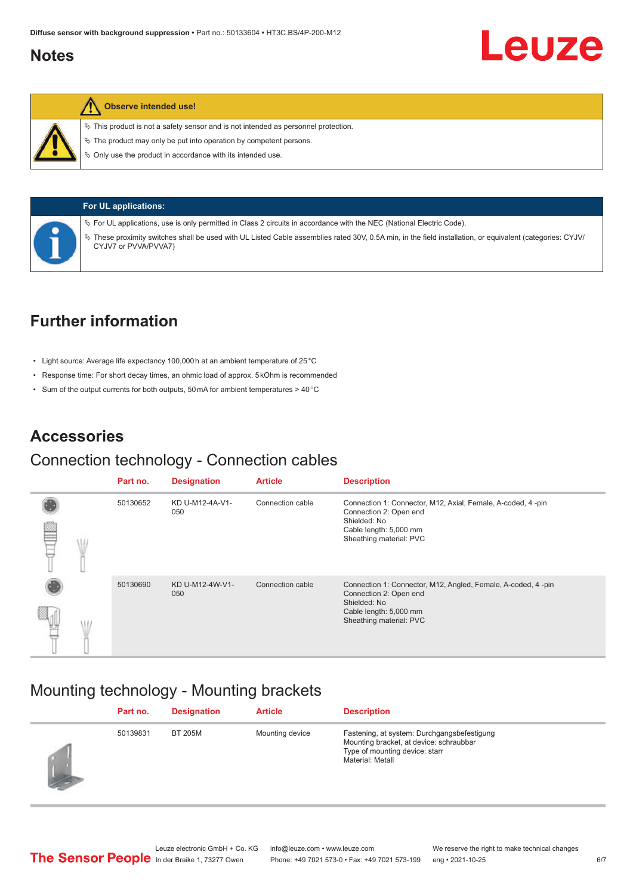## <span id="page-5-0"></span>**Notes**



### **Observe intended use!**

 $\%$  This product is not a safety sensor and is not intended as personnel protection.

 $\ddot{\phi}$  The product may only be put into operation by competent persons.

 $\%$  Only use the product in accordance with its intended use.



**For UL applications:**

ª For UL applications, use is only permitted in Class 2 circuits in accordance with the NEC (National Electric Code).

ª These proximity switches shall be used with UL Listed Cable assemblies rated 30V, 0.5A min, in the field installation, or equivalent (categories: CYJV/ CYJV7 or PVVA/PVVA7)

## **Further information**

- Light source: Average life expectancy 100,000 h at an ambient temperature of 25 °C
- Response time: For short decay times, an ohmic load of approx. 5 kOhm is recommended
- Sum of the output currents for both outputs, 50 mA for ambient temperatures > 40 °C

## **Accessories**

### Connection technology - Connection cables

|   | Part no. | <b>Designation</b>     | <b>Article</b>   | <b>Description</b>                                                                                                                                          |
|---|----------|------------------------|------------------|-------------------------------------------------------------------------------------------------------------------------------------------------------------|
|   | 50130652 | KD U-M12-4A-V1-<br>050 | Connection cable | Connection 1: Connector, M12, Axial, Female, A-coded, 4-pin<br>Connection 2: Open end                                                                       |
| œ |          |                        |                  | Shielded: No<br>Cable length: 5,000 mm<br>Sheathing material: PVC                                                                                           |
|   | 50130690 | KD U-M12-4W-V1-<br>050 | Connection cable | Connection 1: Connector, M12, Angled, Female, A-coded, 4-pin<br>Connection 2: Open end<br>Shielded: No<br>Cable length: 5,000 mm<br>Sheathing material: PVC |
|   |          |                        |                  |                                                                                                                                                             |

## Mounting technology - Mounting brackets

|            | Part no. | <b>Designation</b> | <b>Article</b>  | <b>Description</b>                                                                                                                           |
|------------|----------|--------------------|-----------------|----------------------------------------------------------------------------------------------------------------------------------------------|
| <b>SEP</b> | 50139831 | <b>BT 205M</b>     | Mounting device | Fastening, at system: Durchgangsbefestigung<br>Mounting bracket, at device: schraubbar<br>Type of mounting device: starr<br>Material: Metall |

Leuze